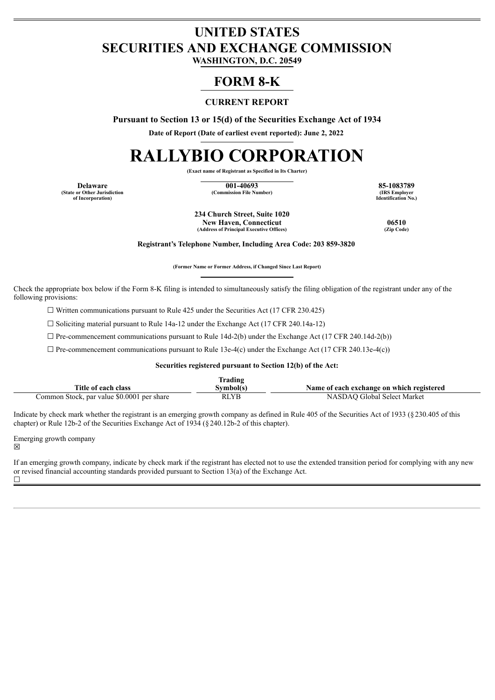## **UNITED STATES SECURITIES AND EXCHANGE COMMISSION**

**WASHINGTON, D.C. 20549**

### **FORM 8-K**

#### **CURRENT REPORT**

**Pursuant to Section 13 or 15(d) of the Securities Exchange Act of 1934**

**Date of Report (Date of earliest event reported): June 2, 2022**

## **RALLYBIO CORPORATION**

**(Exact name of Registrant as Specified in Its Charter)**

**(State or Other Jurisdiction of Incorporation)**

**Delaware 001-40693 85-1083789**  $(Commission File Number)$ 

**Identification No.)**

**234 Church Street, Suite 1020 New Haven, Connecticut** 06510<br>Address of Principal Executive Offices 6.000 (Zip Code) **(Address of Principal Executive Offices)** 

**Registrant's Telephone Number, Including Area Code: 203 859-3820**

**(Former Name or Former Address, if Changed Since Last Report)**

Check the appropriate box below if the Form 8-K filing is intended to simultaneously satisfy the filing obligation of the registrant under any of the following provisions:

 $\Box$  Written communications pursuant to Rule 425 under the Securities Act (17 CFR 230.425)

 $\Box$  Soliciting material pursuant to Rule 14a-12 under the Exchange Act (17 CFR 240.14a-12)

 $\Box$  Pre-commencement communications pursuant to Rule 14d-2(b) under the Exchange Act (17 CFR 240.14d-2(b))

 $\Box$  Pre-commencement communications pursuant to Rule 13e-4(c) under the Exchange Act (17 CFR 240.13e-4(c))

**Securities registered pursuant to Section 12(b) of the Act:**

|                                            | frading     |                                           |
|--------------------------------------------|-------------|-------------------------------------------|
| Title of each class                        | Svmbol(s)   | Name of each exchange on which registered |
| Common Stock, par value \$0.0001 per share | <b>RLYB</b> | NASDAO Global Select Market               |

Indicate by check mark whether the registrant is an emerging growth company as defined in Rule 405 of the Securities Act of 1933 (§230.405 of this chapter) or Rule 12b-2 of the Securities Exchange Act of 1934 (§240.12b-2 of this chapter).

Emerging growth company

☒

If an emerging growth company, indicate by check mark if the registrant has elected not to use the extended transition period for complying with any new or revised financial accounting standards provided pursuant to Section 13(a) of the Exchange Act. ☐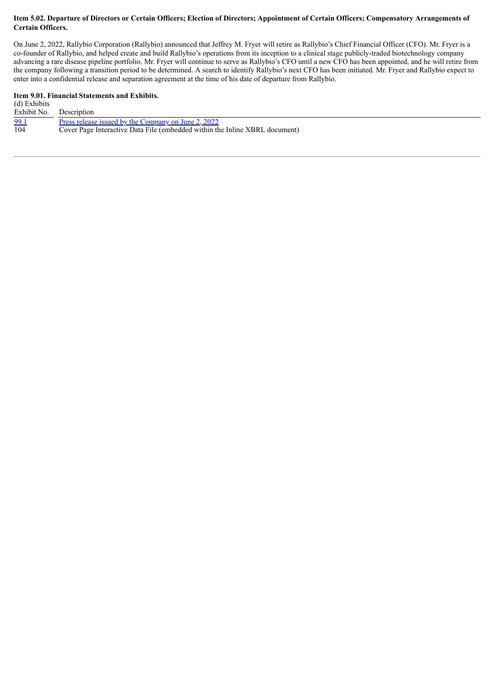#### Item 5.02. Departure of Directors or Certain Officers; Election of Directors; Appointment of Certain Officers; Compensatory Arrangements of **Certain Officers.**

On June 2, 2022, Rallybio Corporation (Rallybio) announced that Jeffrey M. Fryer will retire as Rallybio's Chief Financial Officer (CFO). Mr. Fryer is a co-founder of Rallybio, and helped create and build Rallybio's operations from its inception to a clinical stage publicly-traded biotechnology company advancing a rare disease pipeline portfolio. Mr. Fryer will continue to serve as Rallybio's CFO until a new CFO has been appointed, and he will retire from the company following a transition period to be determined. A search to identify Rallybio's next CFO has been initiated. Mr. Fryer and Rallybio expect to enter into a confidential release and separation agreement at the time of his date of departure from Rallybio.

#### **Item 9.01. Financial Statements and Exhibits.** (d) Exhibits

| $(u)$ Exilibits<br>Exhibit No. Description |                                                                             |
|--------------------------------------------|-----------------------------------------------------------------------------|
| <u>99.1</u>                                | <u>Press release issued by the Company on June 2, 2022</u>                  |
| 104                                        | Cover Page Interactive Data File (embedded within the Inline XBRL document) |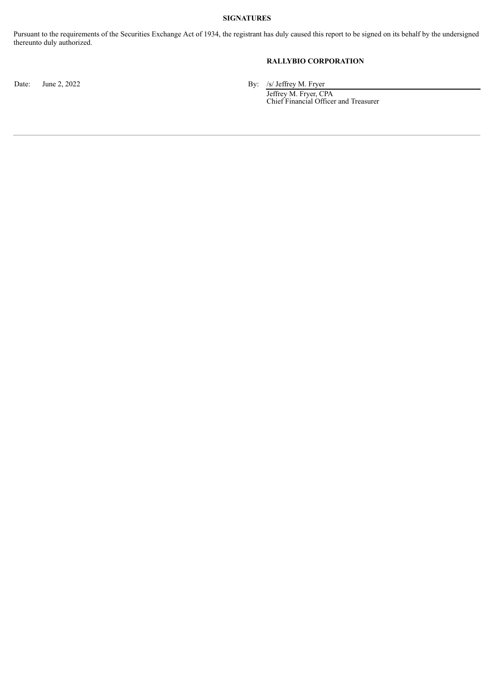#### **SIGNATURES**

Pursuant to the requirements of the Securities Exchange Act of 1934, the registrant has duly caused this report to be signed on its behalf by the undersigned thereunto duly authorized.

#### **RALLYBIO CORPORATION**

Date: June 2, 2022 By: /s/ Jeffrey M. Fryer Jeffrey M. Fryer, CPA Chief Financial Officer and Treasurer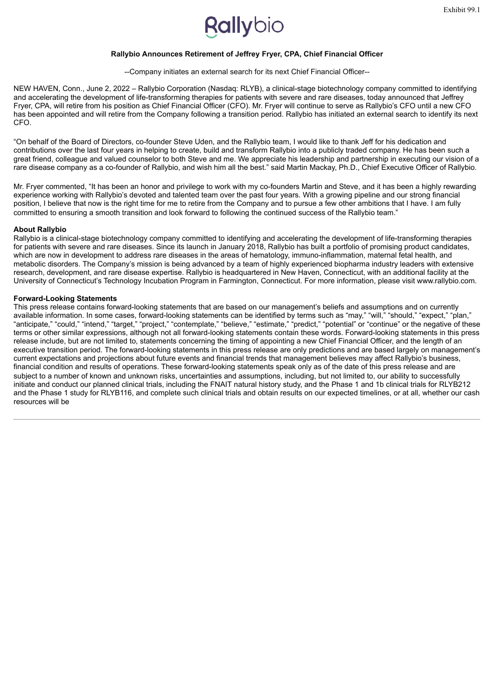# **Rallybio**

#### **Rallybio Announces Retirement of Jeffrey Fryer, CPA, Chief Financial Officer**

--Company initiates an external search for its next Chief Financial Officer--

<span id="page-3-0"></span>NEW HAVEN, Conn., June 2, 2022 – Rallybio Corporation (Nasdaq: RLYB), a clinical-stage biotechnology company committed to identifying and accelerating the development of life-transforming therapies for patients with severe and rare diseases, today announced that Jeffrey Fryer, CPA, will retire from his position as Chief Financial Officer (CFO). Mr. Fryer will continue to serve as Rallybio's CFO until a new CFO has been appointed and will retire from the Company following a transition period. Rallybio has initiated an external search to identify its next CFO.

"On behalf of the Board of Directors, co-founder Steve Uden, and the Rallybio team, I would like to thank Jeff for his dedication and contributions over the last four years in helping to create, build and transform Rallybio into a publicly traded company. He has been such a great friend, colleague and valued counselor to both Steve and me. We appreciate his leadership and partnership in executing our vision of a rare disease company as a co-founder of Rallybio, and wish him all the best." said Martin Mackay, Ph.D., Chief Executive Officer of Rallybio.

Mr. Fryer commented, "It has been an honor and privilege to work with my co-founders Martin and Steve, and it has been a highly rewarding experience working with Rallybio's devoted and talented team over the past four years. With a growing pipeline and our strong financial position, I believe that now is the right time for me to retire from the Company and to pursue a few other ambitions that I have. I am fully committed to ensuring a smooth transition and look forward to following the continued success of the Rallybio team."

#### **About Rallybio**

Rallybio is a clinical-stage biotechnology company committed to identifying and accelerating the development of life-transforming therapies for patients with severe and rare diseases. Since its launch in January 2018, Rallybio has built a portfolio of promising product candidates, which are now in development to address rare diseases in the areas of hematology, immuno-inflammation, maternal fetal health, and metabolic disorders. The Company's mission is being advanced by a team of highly experienced biopharma industry leaders with extensive research, development, and rare disease expertise. Rallybio is headquartered in New Haven, Connecticut, with an additional facility at the University of Connecticut's Technology Incubation Program in Farmington, Connecticut. For more information, please visit www.rallybio.com.

#### **Forward-Looking Statements**

This press release contains forward-looking statements that are based on our management's beliefs and assumptions and on currently available information. In some cases, forward-looking statements can be identified by terms such as "may," "will," "should," "expect," "plan," "anticipate," "could," "intend," "target," "project," "contemplate," "believe," "estimate," "predict," "potential" or "continue" or the negative of these terms or other similar expressions, although not all forward-looking statements contain these words. Forward-looking statements in this press release include, but are not limited to, statements concerning the timing of appointing a new Chief Financial Officer, and the length of an executive transition period. The forward-looking statements in this press release are only predictions and are based largely on management's current expectations and projections about future events and financial trends that management believes may affect Rallybio's business, financial condition and results of operations. These forward-looking statements speak only as of the date of this press release and are subject to a number of known and unknown risks, uncertainties and assumptions, including, but not limited to, our ability to successfully initiate and conduct our planned clinical trials, including the FNAIT natural history study, and the Phase 1 and 1b clinical trials for RLYB212 and the Phase 1 study for RLYB116, and complete such clinical trials and obtain results on our expected timelines, or at all, whether our cash resources will be